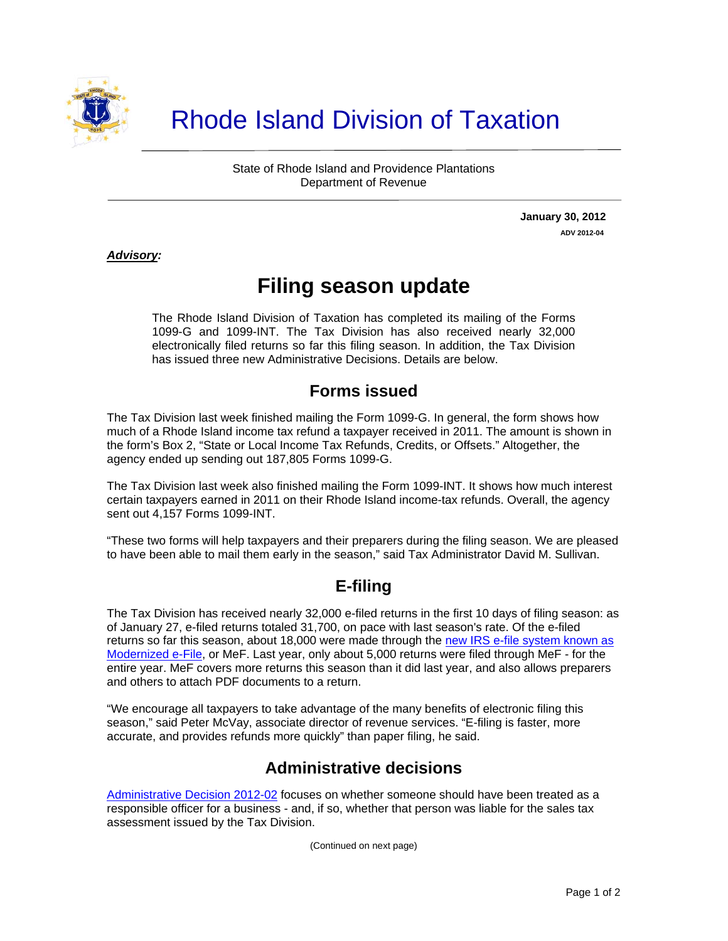

# Rhode Island Division of Taxation

State of Rhode Island and Providence Plantations Department of Revenue

> **January 30, 2012 ADV 2012-04**

#### *Advisory:*

 $\overline{a}$ 

## **Filing season update**

The Rhode Island Division of Taxation has completed its mailing of the Forms 1099-G and 1099-INT. The Tax Division has also received nearly 32,000 electronically filed returns so far this filing season. In addition, the Tax Division has issued three new Administrative Decisions. Details are below.

#### **Forms issued**

The Tax Division last week finished mailing the Form 1099-G. In general, the form shows how much of a Rhode Island income tax refund a taxpayer received in 2011. The amount is shown in the form's Box 2, "State or Local Income Tax Refunds, Credits, or Offsets." Altogether, the agency ended up sending out 187,805 Forms 1099-G.

The Tax Division last week also finished mailing the Form 1099-INT. It shows how much interest certain taxpayers earned in 2011 on their Rhode Island income-tax refunds. Overall, the agency sent out 4,157 Forms 1099-INT.

"These two forms will help taxpayers and their preparers during the filing season. We are pleased to have been able to mail them early in the season," said Tax Administrator David M. Sullivan.

#### **E-filing**

The Tax Division has received nearly 32,000 e-filed returns in the first 10 days of filing season: as of January 27, e-filed returns totaled 31,700, on pace with last season's rate. Of the e-filed returns so far this season, about 18,000 were made through the new IRS e-file system known as [Modernized e-File](http://www.irs.gov/efile/article/0,,id=146364,00.html), or MeF. Last year, only about 5,000 returns were filed through MeF - for the entire year. MeF covers more returns this season than it did last year, and also allows preparers and others to attach PDF documents to a return.

"We encourage all taxpayers to take advantage of the many benefits of electronic filing this season," said Peter McVay, associate director of revenue services. "E-filing is faster, more accurate, and provides refunds more quickly" than paper filing, he said.

### **Administrative decisions**

[Administrative Decision 2012-02](http://www.tax.ri.gov/AdministrativeDecisions/2012/2012-02.pdf) focuses on whether someone should have been treated as a responsible officer for a business - and, if so, whether that person was liable for the sales tax assessment issued by the Tax Division.

(Continued on next page)